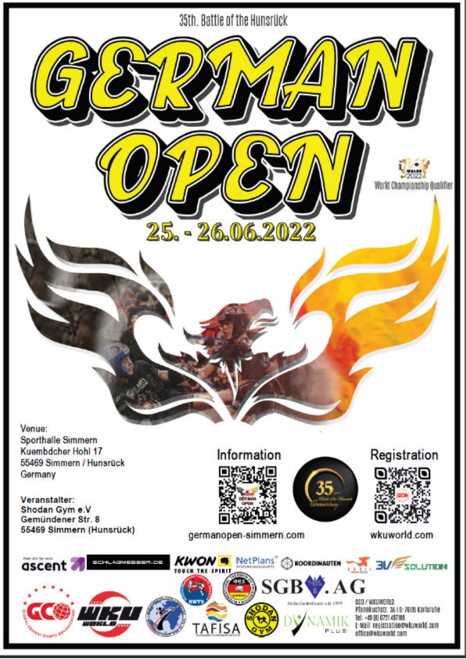

TAFISA

35th, Battle of the Hunsrück

000 / WKUWORLD Pfannkuchstr. 3A I D-76165 Karlsruhe Tel: +49 (0) 0721 497166 E-Mail: registration@wkuworld.com office@wkuworld.com

PLUS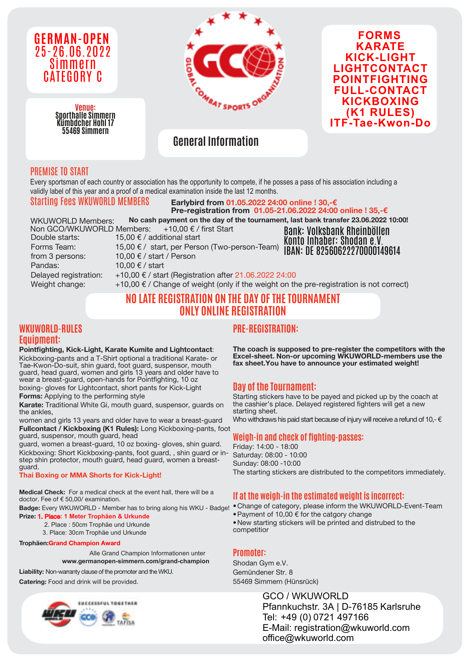

Pandas:  $10.00 \text{ } \in / \text{ start}$ 

IBAN: DE 82560622270000149614 from 3 persons: 10,00 € / start / Person Delayed registration: +10,00 € / start (Registration after 21.06.2022 24:00 Weight change:  $+10,00 \in C$  Change of weight (only if the weight on the pre-registration is not correct)

# **NO LATE REGISTRATION ON THE DAY OF THE TOURNAMENT ONLY ONLINE REGISTRATION**

#### **WKUWORLD-RULES Equipment:**

**Pointfighting, Kick-Light, Karate Kumite and Lightcontact**:

Kickboxing-pants and a T-Shirt optional a traditional Karate- or Tae-Kwon-Do-suit, shin guard, foot guard, suspensor, mouth guard, head guard, women and girls 13 years and older have to wear a breast-guard, open-hands for Pointfighting, 10 oz boxing- gloves for Lightcontact, short pants for Kick-Light

**Forms:** Applying to the performing style

**Karate:** Traditional White Gi, mouth guard, suspensor, guards on the ankles,

women and girls 13 years and older have to wear a breast-guard **Fullcontact / Kickboxing (K1 Rules):** Long Kickboxing-pants, foot guard, suspensor, mouth guard, head

guard, women a breast-guard, 10 oz boxing- gloves, shin guard. Kickboxing: Short Kickboxing-pants, foot guard, , shin guard or instep shin protector, mouth guard, head guard, women a breastguard.

#### **Thai Boxing or MMA Shorts for Kick-Light!**

**Medical Check:** For a medical check at the event hall, there will be a doctor. Fee of € 50,00/ examination.

#### **Prize:** 1. Place**: 1 Meter Trophäen & Urkunde**

- 2. Place : 50cm Trophäe und Urkunde
- 3. Place: 30cm Trophäe und Urkunde

#### **Trophäen:Grand Champion Award**

Alle Grand Champion Informationen unter **www.germanopen-simmern.com/grand-champion**

**Liability:** Non-warranty clause of the promoter and the WKU.

**Catering:** Food and drink will be provided.



## **PRE-REGISTRATION:**

**The coach is supposed to pre-register the competitors with the Excel-sheet. Non-or upcoming WKUWORLD-members use the fax sheet.You have to announce your estimated weight!**

# **Day of the Tournament:**

Starting stickers have to be payed and picked up by the coach at the cashier's place. Delayed registered fighters will get a new starting sheet.

Who withdraws his paid start because of injury will receive a refund of 10,- $\epsilon$ 

#### **Weigh-in and check of fighting-passes:**

Friday: 14:00 - 18:00 Saturday: 08:00 - 10:00 Sunday: 08:00 -10:00

The starting stickers are distributed to the competitors immediately.

#### **If at the weigh-in the estimated weight is incorrect:**

- Badge: Every WKUWORLD Member has to bring along his WKU Badge! Change of category, please inform the WKUWORLD-Event-Team
	- •Payment of 10,00 € for the catgory change
	- •New starting stickers will be printed and distrubed to the competitior

### **Promoter:**

Shodan Gym e.V. Gemündener Str. 8 55469 Simmern (Hünsrück)

Pfannkuchstr. 3A | D-76185 Karlsruhe Tel: +49 (0) 0721 497166 E-Mail: registration@wkuworld.com GCO / WKUWORLD office@wkuworld.com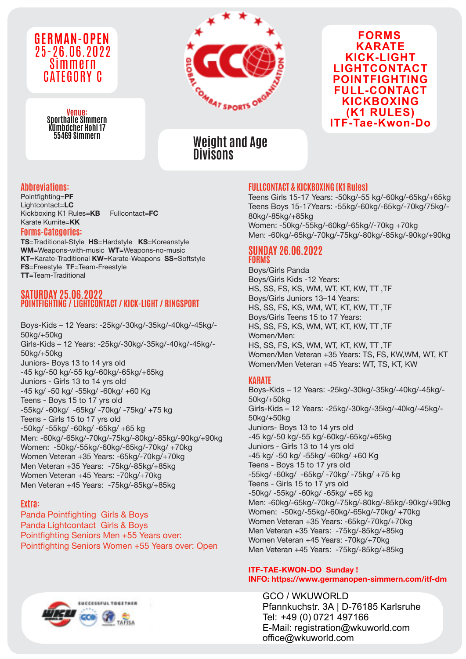

**Venue: Sporthalle Simmern Kümbdcher Hohl 17**



### **FORMS KARATE KICK-LIGHT LIGHTCONTACT POINTFIGHTING FULL-CONTACT KICKBOXING (K1 RULES) ITF-Tae-Kwon-Do**

# **Weight and Age Divisons**

### **Abbreviations:**

Pointfighting=**PF** Lightcontact=**LC** Kickboxing K1 Rules=**KB** Fullcontact=**FC** Karate Kumite=**KK**

#### **Forms-Categories:**

**TS**=Traditional-Style **HS**=Hardstyle **KS**=Koreanstyle **WM**=Weapons-with-music **WT**=Weapons-no-music **KT**=Karate-Traditional **KW**=Karate-Weapons **SS**=Softstyle **FS**=Freestyle **TF**=Team-Freestyle **TT**=Team-Traditional

#### **SATURDAY 25.06.2022 POINTFIGHTING / LIGHTCONTACT / KICK-LIGHT / RINGSPORT**

Boys-Kids – 12 Years: -25kg/-30kg/-35kg/-40kg/-45kg/- 50kg/+50kg Girls-Kids – 12 Years: -25kg/-30kg/-35kg/-40kg/-45kg/- 50kg/+50kg Juniors- Boys 13 to 14 yrs old -45 kg/-50 kg/-55 kg/-60kg/-65kg/+65kg Juniors - Girls 13 to 14 yrs old -45 kg/ -50 kg/ -55kg/ -60kg/ +60 Kg Teens - Boys 15 to 17 yrs old -55kg/ -60kg/ -65kg/ -70kg/ -75kg/ +75 kg Teens - Girls 15 to 17 yrs old -50kg/ -55kg/ -60kg/ -65kg/ +65 kg Men: -60kg/-65kg/-70kg/-75kg/-80kg/-85kg/-90kg/+90kg Women: -50kg/-55kg/-60kg/-65kg/-70kg/ +70kg Women Veteran +35 Years: -65kg/-70kg/+70kg Men Veteran +35 Years: -75kg/-85kg/+85kg Women Veteran +45 Years: -70kg/+70kg Men Veteran +45 Years: -75kg/-85kg/+85kg

### **Extra:**

Panda Pointfighting Girls & Boys Panda Lightcontact Girls & Boys Pointfighting Seniors Men +55 Years over: Pointfighting Seniors Women +55 Years over: Open



### **FULLCONTACT & KICKBOXING (K1 Rules)**

Teens Girls 15-17 Years: -50kg/-55 kg/-60kg/-65kg/+65kg Teens Boys 15-17Years: -55kg/-60kg/-65kg/-70kg/75kg/- 80kg/-85kg/+85kg Women: -50kg/-55kg/-60kg/-65kg//-70kg +70kg Men: -60kg/-65kg/-70kg/-75kg/-80kg/-85kg/-90kg/+90kg

# **SUNDAY 26.06.2022 FORMS**

Boys/Girls Panda Boys/Girls Kids -12 Years: HS, SS, FS, KS, WM, WT, KT, KW, TT ,TF Boys/Girls Juniors 13–14 Years: HS, SS, FS, KS, WM, WT, KT, KW, TT ,TF Boys/Girls Teens 15 to 17 Years: HS, SS, FS, KS, WM, WT, KT, KW, TT ,TF Women/Men: HS, SS, FS, KS, WM, WT, KT, KW, TT ,TF Women/Men Veteran +35 Years: TS, FS, KW,WM, WT, KT Women/Men Veteran +45 Years: WT, TS, KT, KW

### **KARATE**

Boys-Kids – 12 Years: -25kg/-30kg/-35kg/-40kg/-45kg/- 50kg/+50kg Girls-Kids – 12 Years: -25kg/-30kg/-35kg/-40kg/-45kg/- 50kg/+50kg Juniors- Boys 13 to 14 yrs old -45 kg/-50 kg/-55 kg/-60kg/-65kg/+65kg Juniors - Girls 13 to 14 yrs old -45 kg/ -50 kg/ -55kg/ -60kg/ +60 Kg Teens - Boys 15 to 17 yrs old -55kg/ -60kg/ -65kg/ -70kg/ -75kg/ +75 kg Teens - Girls 15 to 17 yrs old -50kg/ -55kg/ -60kg/ -65kg/ +65 kg Men: -60kg/-65kg/-70kg/-75kg/-80kg/-85kg/-90kg/+90kg Women: -50kg/-55kg/-60kg/-65kg/-70kg/ +70kg Women Veteran +35 Years: -65kg/-70kg/+70kg Men Veteran +35 Years: -75kg/-85kg/+85kg Women Veteran +45 Years: -70kg/+70kg Men Veteran +45 Years: -75kg/-85kg/+85kg

#### **ITF-TAE-KWON-DO Sunday !**

#### **INFO: https://www.germanopen-simmern.com/itf-dm**

Pfannkuchstr. 3A | D-76185 Karlsruhe Tel: +49 (0) 0721 497166 E-Mail: registration@wkuworld.com GCO / WKUWORLD office@wkuworld.com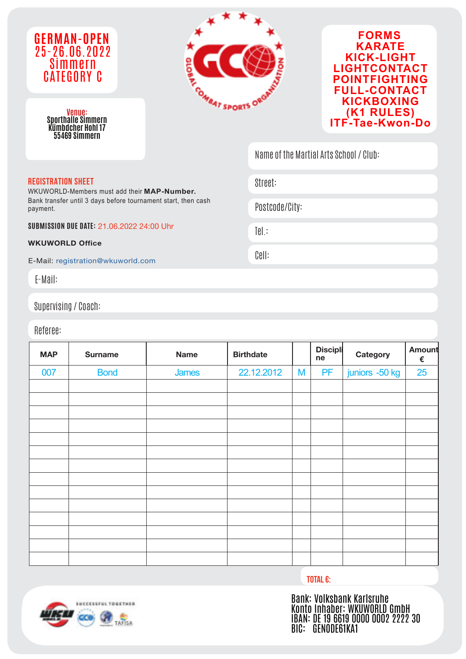

**Venue: Sporthalle Simmern Kümbdcher Hohl 17 55469 Simmern**





Name of the Martial Arts School / Club:

Street:

Tel.:

Cell:

Postcode/City:

#### **REGISTRATION SHEET**

WKUWORLD-Members must add their **MAP-Number.** Bank transfer until 3 days before tournament start, then cash payment.

**SUBMISSION DUE DATE:** 21.06.2022 24:00 Uhr

**WKUWORLD Office**

E-Mail: registration@wkuworld.com

E-Mail:

Supervising / Coach:

Referee:

| <b>MAP</b> | <b>Surname</b> | <b>Name</b> | <b>Birthdate</b> |   | <b>Discipli</b><br>ne | Category       | Amount<br>€ |
|------------|----------------|-------------|------------------|---|-----------------------|----------------|-------------|
| 007        | <b>Bond</b>    | James       | 22.12.2012       | M | <b>PF</b>             | juniors -50 kg | 25          |
|            |                |             |                  |   |                       |                |             |
|            |                |             |                  |   |                       |                |             |
|            |                |             |                  |   |                       |                |             |
|            |                |             |                  |   |                       |                |             |
|            |                |             |                  |   |                       |                |             |
|            |                |             |                  |   |                       |                |             |
|            |                |             |                  |   |                       |                |             |
|            |                |             |                  |   |                       |                |             |
|            |                |             |                  |   |                       |                |             |
|            |                |             |                  |   |                       |                |             |
|            |                |             |                  |   |                       |                |             |
|            |                |             |                  |   |                       |                |             |
|            |                |             |                  |   |                       |                |             |

**TOTAL €:**



Konto Inhaber: WKUWORLD GmbH Tel.: +49(0)721-497166 | Fax:+49(0)721-9430773 Tel: +49 (0) 0721 497166 E-Mail:office@wku-registration.com Bank: Volksban<u>k Karlsru</u>he BIC: GENODE61KA1 IBAN: DE 19 6619 0000 0002 2222 30 BIC: GENODE61KA1